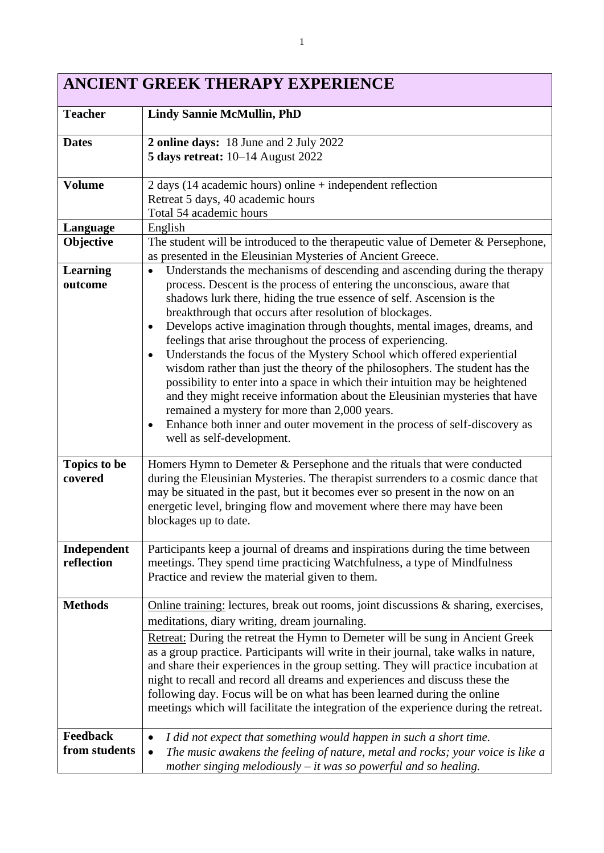# **ANCIENT GREEK THERAPY EXPERIENCE**

| <b>Teacher</b>                 | <b>Lindy Sannie McMullin, PhD</b>                                                                                                                                                                                                                                                                                                                                                                                                                                                                                                                                                                                                                                                                                                                                                                                                                                                                                                                          |
|--------------------------------|------------------------------------------------------------------------------------------------------------------------------------------------------------------------------------------------------------------------------------------------------------------------------------------------------------------------------------------------------------------------------------------------------------------------------------------------------------------------------------------------------------------------------------------------------------------------------------------------------------------------------------------------------------------------------------------------------------------------------------------------------------------------------------------------------------------------------------------------------------------------------------------------------------------------------------------------------------|
| <b>Dates</b>                   | 2 online days: 18 June and 2 July 2022<br><b>5 days retreat:</b> 10-14 August 2022                                                                                                                                                                                                                                                                                                                                                                                                                                                                                                                                                                                                                                                                                                                                                                                                                                                                         |
| <b>Volume</b>                  | $2$ days (14 academic hours) online + independent reflection<br>Retreat 5 days, 40 academic hours<br>Total 54 academic hours                                                                                                                                                                                                                                                                                                                                                                                                                                                                                                                                                                                                                                                                                                                                                                                                                               |
| Language                       | English                                                                                                                                                                                                                                                                                                                                                                                                                                                                                                                                                                                                                                                                                                                                                                                                                                                                                                                                                    |
| Objective                      | The student will be introduced to the therapeutic value of Demeter $&$ Persephone,<br>as presented in the Eleusinian Mysteries of Ancient Greece.                                                                                                                                                                                                                                                                                                                                                                                                                                                                                                                                                                                                                                                                                                                                                                                                          |
| <b>Learning</b><br>outcome     | Understands the mechanisms of descending and ascending during the therapy<br>$\bullet$<br>process. Descent is the process of entering the unconscious, aware that<br>shadows lurk there, hiding the true essence of self. Ascension is the<br>breakthrough that occurs after resolution of blockages.<br>Develops active imagination through thoughts, mental images, dreams, and<br>٠<br>feelings that arise throughout the process of experiencing.<br>Understands the focus of the Mystery School which offered experiential<br>$\bullet$<br>wisdom rather than just the theory of the philosophers. The student has the<br>possibility to enter into a space in which their intuition may be heightened<br>and they might receive information about the Eleusinian mysteries that have<br>remained a mystery for more than 2,000 years.<br>Enhance both inner and outer movement in the process of self-discovery as<br>٠<br>well as self-development. |
| <b>Topics to be</b><br>covered | Homers Hymn to Demeter & Persephone and the rituals that were conducted<br>during the Eleusinian Mysteries. The therapist surrenders to a cosmic dance that<br>may be situated in the past, but it becomes ever so present in the now on an<br>energetic level, bringing flow and movement where there may have been<br>blockages up to date.                                                                                                                                                                                                                                                                                                                                                                                                                                                                                                                                                                                                              |
| Independent<br>reflection      | Participants keep a journal of dreams and inspirations during the time between<br>meetings. They spend time practicing Watchfulness, a type of Mindfulness<br>Practice and review the material given to them.                                                                                                                                                                                                                                                                                                                                                                                                                                                                                                                                                                                                                                                                                                                                              |
| <b>Methods</b>                 | Online training: lectures, break out rooms, joint discussions & sharing, exercises,<br>meditations, diary writing, dream journaling.                                                                                                                                                                                                                                                                                                                                                                                                                                                                                                                                                                                                                                                                                                                                                                                                                       |
|                                | Retreat: During the retreat the Hymn to Demeter will be sung in Ancient Greek<br>as a group practice. Participants will write in their journal, take walks in nature,<br>and share their experiences in the group setting. They will practice incubation at<br>night to recall and record all dreams and experiences and discuss these the<br>following day. Focus will be on what has been learned during the online<br>meetings which will facilitate the integration of the experience during the retreat.                                                                                                                                                                                                                                                                                                                                                                                                                                              |
| Feedback<br>from students      | I did not expect that something would happen in such a short time.<br>$\bullet$<br>The music awakens the feeling of nature, metal and rocks; your voice is like a<br>$\bullet$<br>mother singing melodiously $-$ it was so powerful and so healing.                                                                                                                                                                                                                                                                                                                                                                                                                                                                                                                                                                                                                                                                                                        |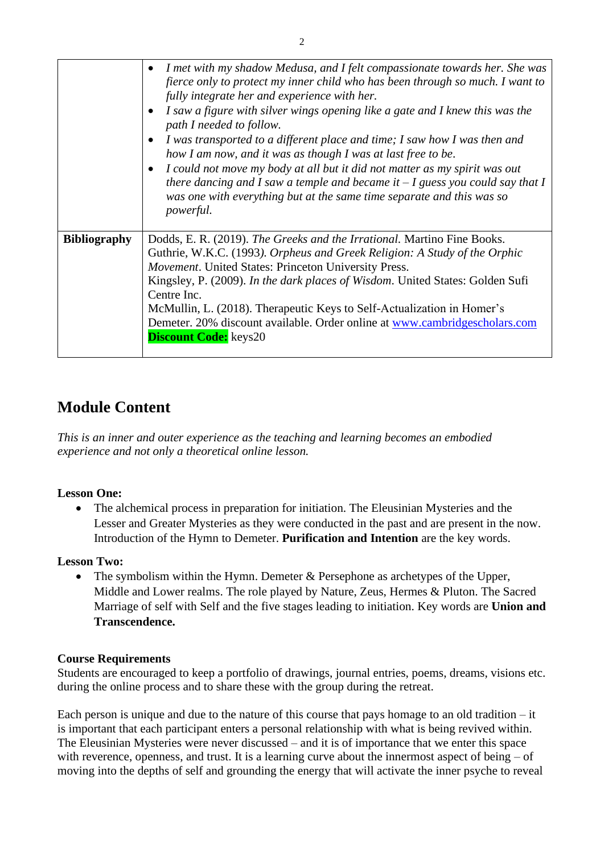|                     | I met with my shadow Medusa, and I felt compassionate towards her. She was<br>fierce only to protect my inner child who has been through so much. I want to<br>fully integrate her and experience with her.<br>I saw a figure with silver wings opening like a gate and I knew this was the<br>path I needed to follow.<br>I was transported to a different place and time; I saw how I was then and<br>how I am now, and it was as though I was at last free to be.<br>I could not move my body at all but it did not matter as my spirit was out<br>$\bullet$<br>there dancing and I saw a temple and became it $-I$ guess you could say that I<br>was one with everything but at the same time separate and this was so<br><i>powerful.</i> |
|---------------------|------------------------------------------------------------------------------------------------------------------------------------------------------------------------------------------------------------------------------------------------------------------------------------------------------------------------------------------------------------------------------------------------------------------------------------------------------------------------------------------------------------------------------------------------------------------------------------------------------------------------------------------------------------------------------------------------------------------------------------------------|
| <b>Bibliography</b> | Dodds, E. R. (2019). The Greeks and the Irrational. Martino Fine Books.<br>Guthrie, W.K.C. (1993). Orpheus and Greek Religion: A Study of the Orphic<br>Movement. United States: Princeton University Press.<br>Kingsley, P. (2009). In the dark places of Wisdom. United States: Golden Sufi<br>Centre Inc.<br>McMullin, L. (2018). Therapeutic Keys to Self-Actualization in Homer's<br>Demeter. 20% discount available. Order online at www.cambridgescholars.com<br><b>Discount Code:</b> keys20                                                                                                                                                                                                                                           |

# **Module Content**

*This is an inner and outer experience as the teaching and learning becomes an embodied experience and not only a theoretical online lesson.*

# **Lesson One:**

• The alchemical process in preparation for initiation. The Eleusinian Mysteries and the Lesser and Greater Mysteries as they were conducted in the past and are present in the now. Introduction of the Hymn to Demeter. **Purification and Intention** are the key words.

# **Lesson Two:**

• The symbolism within the Hymn. Demeter  $&$  Persephone as archetypes of the Upper, Middle and Lower realms. The role played by Nature, Zeus, Hermes & Pluton. The Sacred Marriage of self with Self and the five stages leading to initiation. Key words are **Union and Transcendence.**

#### **Course Requirements**

Students are encouraged to keep a portfolio of drawings, journal entries, poems, dreams, visions etc. during the online process and to share these with the group during the retreat.

Each person is unique and due to the nature of this course that pays homage to an old tradition – it is important that each participant enters a personal relationship with what is being revived within. The Eleusinian Mysteries were never discussed – and it is of importance that we enter this space with reverence, openness, and trust. It is a learning curve about the innermost aspect of being – of moving into the depths of self and grounding the energy that will activate the inner psyche to reveal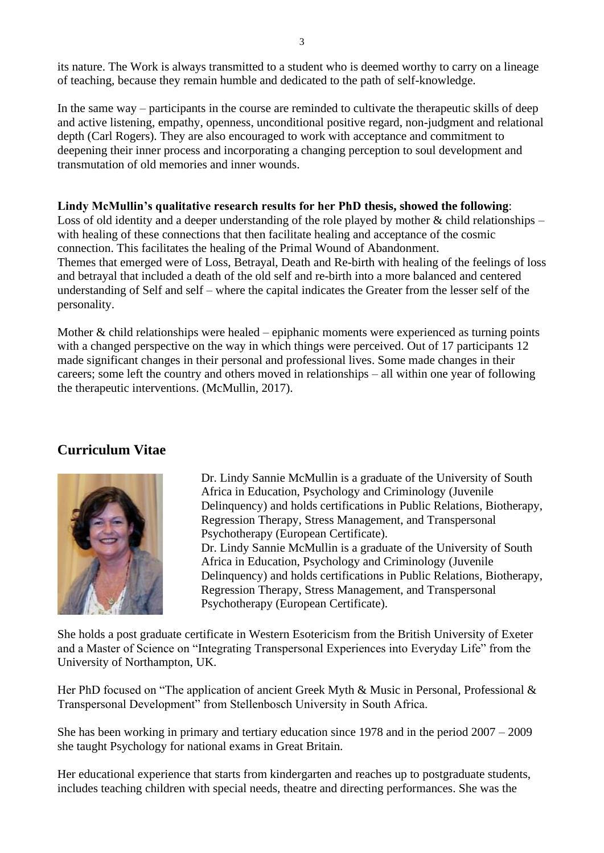its nature. The Work is always transmitted to a student who is deemed worthy to carry on a lineage of teaching, because they remain humble and dedicated to the path of self-knowledge.

In the same way – participants in the course are reminded to cultivate the therapeutic skills of deep and active listening, empathy, openness, unconditional positive regard, non-judgment and relational depth (Carl Rogers). They are also encouraged to work with acceptance and commitment to deepening their inner process and incorporating a changing perception to soul development and transmutation of old memories and inner wounds.

#### **Lindy McMullin's qualitative research results for her PhD thesis, showed the following**:

Loss of old identity and a deeper understanding of the role played by mother  $\&$  child relationships – with healing of these connections that then facilitate healing and acceptance of the cosmic connection. This facilitates the healing of the Primal Wound of Abandonment. Themes that emerged were of Loss, Betrayal, Death and Re-birth with healing of the feelings of loss and betrayal that included a death of the old self and re-birth into a more balanced and centered understanding of Self and self – where the capital indicates the Greater from the lesser self of the personality.

Mother  $\&$  child relationships were healed – epiphanic moments were experienced as turning points with a changed perspective on the way in which things were perceived. Out of 17 participants 12 made significant changes in their personal and professional lives. Some made changes in their careers; some left the country and others moved in relationships – all within one year of following the therapeutic interventions. (McMullin, 2017).

# **Curriculum Vitae**



Dr. Lindy Sannie McMullin is a graduate of the University of South Africa in Education, Psychology and Criminology (Juvenile Delinquency) and holds certifications in Public Relations, Biotherapy, Regression Therapy, Stress Management, and Transpersonal Psychotherapy (European Certificate). Dr. Lindy Sannie McMullin is a graduate of the University of South Africa in Education, Psychology and Criminology (Juvenile Delinquency) and holds certifications in Public Relations, Biotherapy, Regression Therapy, Stress Management, and Transpersonal Psychotherapy (European Certificate).

She holds a post graduate certificate in Western Esotericism from the British University of Exeter and a Master of Science on "Integrating Transpersonal Experiences into Everyday Life" from the University of Northampton, UK.

Her PhD focused on "The application of ancient Greek Myth & Music in Personal, Professional & Transpersonal Development" from Stellenbosch University in South Africa.

She has been working in primary and tertiary education since 1978 and in the period 2007 – 2009 she taught Psychology for national exams in Great Britain.

Her educational experience that starts from kindergarten and reaches up to postgraduate students, includes teaching children with special needs, theatre and directing performances. She was the